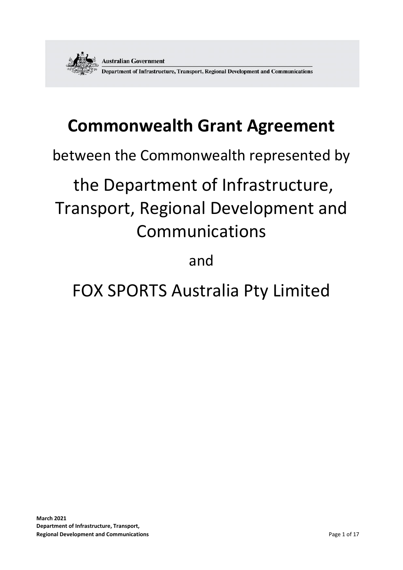

# **Commonwealth Grant Agreement**

between the Commonwealth represented by

# the Department of Infrastructure, Transport, Regional Development and Communications

# and

# FOX SPORTS Australia Pty Limited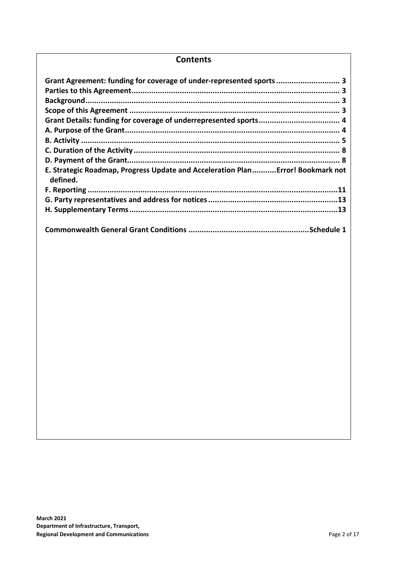### **Contents**

| Grant Agreement: funding for coverage of under-represented sports 3                        |
|--------------------------------------------------------------------------------------------|
|                                                                                            |
| E. Strategic Roadmap, Progress Update and Acceleration PlanError! Bookmark not<br>defined. |
|                                                                                            |
|                                                                                            |
|                                                                                            |
|                                                                                            |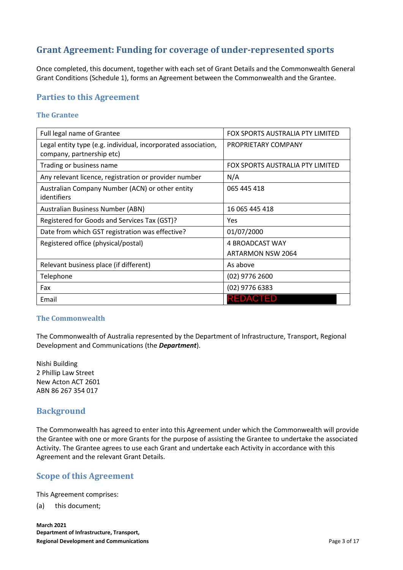# **Grant Agreement: Funding for coverage of under-represented sports**

Once completed, this document, together with each set of Grant Details and the Commonwealth General Grant Conditions (Schedule 1), forms an Agreement between the Commonwealth and the Grantee.

# **Parties to this Agreement**

#### **The Grantee**

| Full legal name of Grantee                                                                 | FOX SPORTS AUSTRALIA PTY LIMITED |
|--------------------------------------------------------------------------------------------|----------------------------------|
| Legal entity type (e.g. individual, incorporated association,<br>company, partnership etc) | PROPRIETARY COMPANY              |
| Trading or business name                                                                   | FOX SPORTS AUSTRALIA PTY LIMITED |
| Any relevant licence, registration or provider number                                      | N/A                              |
| Australian Company Number (ACN) or other entity<br>identifiers                             | 065 445 418                      |
| Australian Business Number (ABN)                                                           | 16 065 445 418                   |
| Registered for Goods and Services Tax (GST)?                                               | Yes                              |
| Date from which GST registration was effective?                                            | 01/07/2000                       |
| Registered office (physical/postal)                                                        | 4 BROADCAST WAY                  |
|                                                                                            | ARTARMON NSW 2064                |
| Relevant business place (if different)                                                     | As above                         |
| Telephone                                                                                  | $(02)$ 9776 2600                 |
| Fax                                                                                        | $(02)$ 9776 6383                 |
| Email                                                                                      | <b>REDACTED</b>                  |

#### **The Commonwealth**

The Commonwealth of Australia represented by the Department of Infrastructure, Transport, Regional Development and Communications (the *Department*).

Nishi Building 2 Phillip Law Street New Acton ACT 2601 ABN 86 267 354 017

# **Background**

The Commonwealth has agreed to enter into this Agreement under which the Commonwealth will provide the Grantee with one or more Grants for the purpose of assisting the Grantee to undertake the associated Activity. The Grantee agrees to use each Grant and undertake each Activity in accordance with this Agreement and the relevant Grant Details.

# **Scope of this Agreement**

This Agreement comprises:

(a) this document;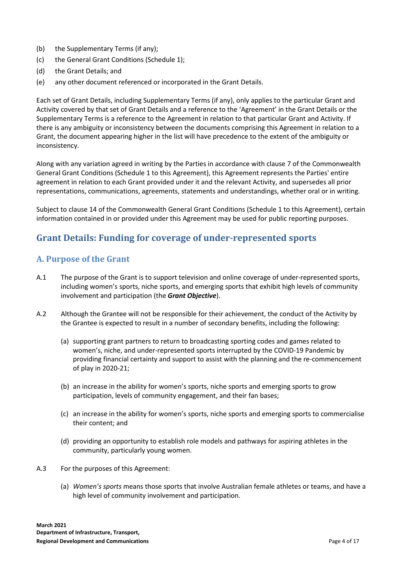- (b) the Supplementary Terms (if any);
- (c) the General Grant Conditions (Schedule 1);
- (d) the Grant Details; and
- (e) any other document referenced or incorporated in the Grant Details.

Each set of Grant Details, including Supplementary Terms (if any), only applies to the particular Grant and Activity covered by that set of Grant Details and a reference to the 'Agreement' in the Grant Details or the Supplementary Terms is a reference to the Agreement in relation to that particular Grant and Activity. If there is any ambiguity or inconsistency between the documents comprising this Agreement in relation to a Grant, the document appearing higher in the list will have precedence to the extent of the ambiguity or inconsistency.

Along with any variation agreed in writing by the Parties in accordance with clause 7 of the Commonwealth General Grant Conditions (Schedule 1 to this Agreement), this Agreement represents the Parties' entire agreement in relation to each Grant provided under it and the relevant Activity, and supersedes all prior representations, communications, agreements, statements and understandings, whether oral or in writing.

Subject to clause 14 of the Commonwealth General Grant Conditions (Schedule 1 to this Agreement), certain information contained in or provided under this Agreement may be used for public reporting purposes.

# **Grant Details: Funding for coverage of under-represented sports**

# **A. Purpose of the Grant**

- A.1 The purpose of the Grant is to support television and online coverage of under-represented sports, including women's sports, niche sports, and emerging sports that exhibit high levels of community involvement and participation (the *Grant Objective*).
- A.2 Although the Grantee will not be responsible for their achievement, the conduct of the Activity by the Grantee is expected to result in a number of secondary benefits, including the following:
	- (a) supporting grant partners to return to broadcasting sporting codes and games related to women's, niche, and under-represented sports interrupted by the COVID-19 Pandemic by providing financial certainty and support to assist with the planning and the re-commencement of play in 2020-21;
	- (b) an increase in the ability for women's sports, niche sports and emerging sports to grow participation, levels of community engagement, and their fan bases;
	- (c) an increase in the ability for women's sports, niche sports and emerging sports to commercialise their content; and
	- (d) providing an opportunity to establish role models and pathways for aspiring athletes in the community, particularly young women.
- A.3 For the purposes of this Agreement:
	- (a) *Women's sports* means those sports that involve Australian female athletes or teams, and have a high level of community involvement and participation.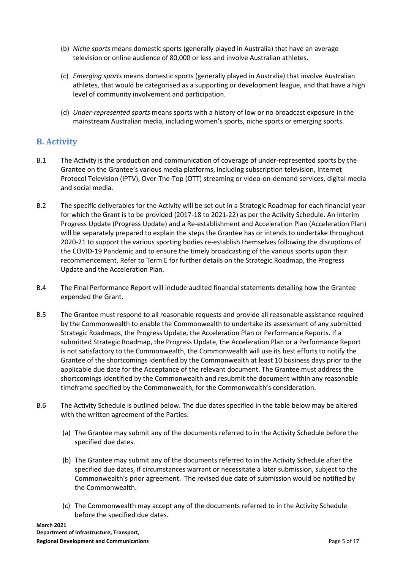- (b) *Niche sports* means domestic sports (generally played in Australia) that have an average television or online audience of 80,000 or less and involve Australian athletes.
- (c) *Emerging sports* means domestic sports (generally played in Australia) that involve Australian athletes, that would be categorised as a supporting or development league, and that have a high level of community involvement and participation.
- (d) *Under-represented sports* means sports with a history of low or no broadcast exposure in the mainstream Australian media, including women's sports, niche sports or emerging sports.

# **B. Activity**

- B.1 The Activity is the production and communication of coverage of under-represented sports by the Grantee on the Grantee's various media platforms, including subscription television, Internet Protocol Television (IPTV), Over-The-Top (OTT) streaming or video-on-demand services, digital media and social media.
- B.2 The specific deliverables for the Activity will be set out in a Strategic Roadmap for each financial year for which the Grant is to be provided (2017-18 to 2021-22) as per the Activity Schedule. An Interim Progress Update (Progress Update) and a Re-establishment and Acceleration Plan (Acceleration Plan) will be separately prepared to explain the steps the Grantee has or intends to undertake throughout 2020-21 to support the various sporting bodies re-establish themselves following the disruptions of the COVID-19 Pandemic and to ensure the timely broadcasting of the various sports upon their recommencement. Refer to Term E for further details on the Strategic Roadmap, the Progress Update and the Acceleration Plan.
- B.4 The Final Performance Report will include audited financial statements detailing how the Grantee expended the Grant.
- B.5 The Grantee must respond to all reasonable requests and provide all reasonable assistance required by the Commonwealth to enable the Commonwealth to undertake its assessment of any submitted Strategic Roadmaps, the Progress Update, the Acceleration Plan or Performance Reports. If a submitted Strategic Roadmap, the Progress Update, the Acceleration Plan or a Performance Report is not satisfactory to the Commonwealth, the Commonwealth will use its best efforts to notify the Grantee of the shortcomings identified by the Commonwealth at least 10 business days prior to the applicable due date for the Acceptance of the relevant document. The Grantee must address the shortcomings identified by the Commonwealth and resubmit the document within any reasonable timeframe specified by the Commonwealth, for the Commonwealth's consideration.
- B.6 The Activity Schedule is outlined below. The due dates specified in the table below may be altered with the written agreement of the Parties.
	- (a) The Grantee may submit any of the documents referred to in the Activity Schedule before the specified due dates.
	- (b) The Grantee may submit any of the documents referred to in the Activity Schedule after the specified due dates, if circumstances warrant or necessitate a later submission, subject to the Commonwealth's prior agreement. The revised due date of submission would be notified by the Commonwealth.
	- (c) The Commonwealth may accept any of the documents referred to in the Activity Schedule before the specified due dates.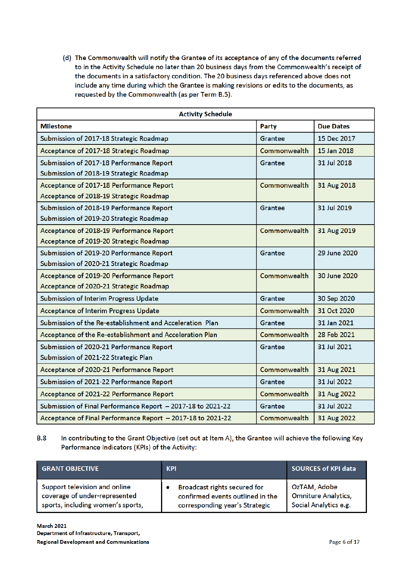(d) The Commonwealth will notify the Grantee of its acceptance of any of the documents referred to in the Activity Schedule no later than 20 business days from the Commonwealth's receipt of the documents in a satisfactory condition. The 20 business days referenced above does not include any time during which the Grantee is making revisions or edits to the documents, as requested by the Commonwealth (as per Term B.5).

| <b>Activity Schedule</b>                                    |                |                  |
|-------------------------------------------------------------|----------------|------------------|
| <b>Milestone</b>                                            | Party          | <b>Due Dates</b> |
| Submission of 2017-18 Strategic Roadmap                     | Grantee        | 15 Dec 2017      |
| Acceptance of 2017-18 Strategic Roadmap                     | Commonwealth   | 15 Jan 2018      |
| Submission of 2017-18 Performance Report                    | Grantee        | 31 Jul 2018      |
| Submission of 2018-19 Strategic Roadmap                     |                |                  |
| Acceptance of 2017-18 Performance Report                    | Commonwealth   | 31 Aug 2018      |
| Acceptance of 2018-19 Strategic Roadmap                     |                |                  |
| Submission of 2018-19 Performance Report                    | <b>Grantee</b> | 31 Jul 2019      |
| Submission of 2019-20 Strategic Roadmap                     |                |                  |
| Acceptance of 2018-19 Performance Report                    | Commonwealth   | 31 Aug 2019      |
| Acceptance of 2019-20 Strategic Roadmap                     |                |                  |
| Submission of 2019-20 Performance Report                    | Grantee        | 29 June 2020     |
| Submission of 2020-21 Strategic Roadmap                     |                |                  |
| Acceptance of 2019-20 Performance Report                    | Commonwealth   | 30 June 2020     |
| Acceptance of 2020-21 Strategic Roadmap                     |                |                  |
| Submission of Interim Progress Update                       | Grantee        | 30 Sep 2020      |
| <b>Acceptance of Interim Progress Update</b>                | Commonwealth   | 31 Oct 2020      |
| Submission of the Re-establishment and Acceleration Plan    | Grantee        | 31 Jan 2021      |
| Acceptance of the Re-establishment and Acceleration Plan    | Commonwealth   | 28 Feb 2021      |
| Submission of 2020-21 Performance Report                    | Grantee        | 31 Jul 2021      |
| Submission of 2021-22 Strategic Plan                        |                |                  |
| Acceptance of 2020-21 Performance Report                    | Commonwealth   | 31 Aug 2021      |
| Submission of 2021-22 Performance Report                    | Grantee        | 31 Jul 2022      |
| Acceptance of 2021-22 Performance Report                    | Commonwealth   | 31 Aug 2022      |
| Submission of Final Performance Report - 2017-18 to 2021-22 | Grantee        | 31 Jul 2022      |
| Acceptance of Final Performance Report - 2017-18 to 2021-22 | Commonwealth   | 31 Aug 2022      |

**B.8** In contributing to the Grant Objective (set out at Item A), the Grantee will achieve the following Key Performance Indicators (KPIs) of the Activity:

| <b>GRANT OBJECTIVE</b>            | <b>KPI</b>                       | <b>SOURCES of KPI data</b> |
|-----------------------------------|----------------------------------|----------------------------|
| Support television and online     | Broadcast rights secured for     | OzTAM, Adobe               |
| coverage of under-represented     | confirmed events outlined in the | <b>Omniture Analytics,</b> |
| sports, including women's sports, | corresponding year's Strategic   | Social Analytics e.g.      |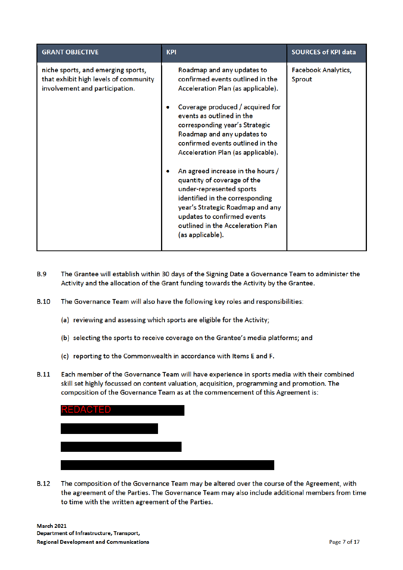| <b>GRANT OBJECTIVE</b>                                                                                        | <b>KPI</b>                                                                                                                                                                                                                                                                                                                                                                                                                                                                                                                                                                     | <b>SOURCES of KPI data</b>           |
|---------------------------------------------------------------------------------------------------------------|--------------------------------------------------------------------------------------------------------------------------------------------------------------------------------------------------------------------------------------------------------------------------------------------------------------------------------------------------------------------------------------------------------------------------------------------------------------------------------------------------------------------------------------------------------------------------------|--------------------------------------|
| niche sports, and emerging sports,<br>that exhibit high levels of community<br>involvement and participation. | Roadmap and any updates to<br>confirmed events outlined in the<br>Acceleration Plan (as applicable).<br>Coverage produced / acquired for<br>events as outlined in the<br>corresponding year's Strategic<br>Roadmap and any updates to<br>confirmed events outlined in the<br>Acceleration Plan (as applicable).<br>An agreed increase in the hours /<br>quantity of coverage of the<br>under-represented sports<br>identified in the corresponding<br>year's Strategic Roadmap and any<br>updates to confirmed events<br>outlined in the Acceleration Plan<br>(as applicable). | <b>Facebook Analytics,</b><br>Sprout |

- **B.9** The Grantee will establish within 30 days of the Signing Date a Governance Team to administer the Activity and the allocation of the Grant funding towards the Activity by the Grantee.
- **B.10** The Governance Team will also have the following key roles and responsibilities:
	- (a) reviewing and assessing which sports are eligible for the Activity;
	- (b) selecting the sports to receive coverage on the Grantee's media platforms; and
	- (c) reporting to the Commonwealth in accordance with Items E and F.
- **B.11** Each member of the Governance Team will have experience in sports media with their combined skill set highly focussed on content valuation, acquisition, programming and promotion. The composition of the Governance Team as at the commencement of this Agreement is:

| <b>REDACTED</b> |  |  |
|-----------------|--|--|
|                 |  |  |
|                 |  |  |
|                 |  |  |

**B.12** The composition of the Governance Team may be altered over the course of the Agreement, with the agreement of the Parties. The Governance Team may also include additional members from time to time with the written agreement of the Parties.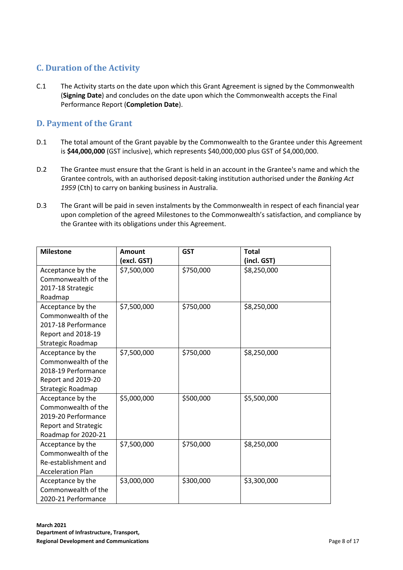# **C. Duration of the Activity**

C.1 The Activity starts on the date upon which this Grant Agreement is signed by the Commonwealth (**Signing Date**) and concludes on the date upon which the Commonwealth accepts the Final Performance Report (**Completion Date**).

# **D. Payment of the Grant**

- D.1 The total amount of the Grant payable by the Commonwealth to the Grantee under this Agreement is **\$44,000,000** (GST inclusive), which represents \$40,000,000 plus GST of \$4,000,000.
- D.2 The Grantee must ensure that the Grant is held in an account in the Grantee's name and which the Grantee controls, with an authorised deposit-taking institution authorised under the *Banking Act 1959* (Cth) to carry on banking business in Australia.
- D.3 The Grant will be paid in seven instalments by the Commonwealth in respect of each financial year upon completion of the agreed Milestones to the Commonwealth's satisfaction, and compliance by the Grantee with its obligations under this Agreement.

| <b>Milestone</b>            | Amount      | <b>GST</b> | <b>Total</b> |
|-----------------------------|-------------|------------|--------------|
|                             | (excl. GST) |            | (incl. GST)  |
| Acceptance by the           | \$7,500,000 | \$750,000  | \$8,250,000  |
| Commonwealth of the         |             |            |              |
| 2017-18 Strategic           |             |            |              |
| Roadmap                     |             |            |              |
| Acceptance by the           | \$7,500,000 | \$750,000  | \$8,250,000  |
| Commonwealth of the         |             |            |              |
| 2017-18 Performance         |             |            |              |
| Report and 2018-19          |             |            |              |
| Strategic Roadmap           |             |            |              |
| Acceptance by the           | \$7,500,000 | \$750,000  | \$8,250,000  |
| Commonwealth of the         |             |            |              |
| 2018-19 Performance         |             |            |              |
| Report and 2019-20          |             |            |              |
| Strategic Roadmap           |             |            |              |
| Acceptance by the           | \$5,000,000 | \$500,000  | \$5,500,000  |
| Commonwealth of the         |             |            |              |
| 2019-20 Performance         |             |            |              |
| <b>Report and Strategic</b> |             |            |              |
| Roadmap for 2020-21         |             |            |              |
| Acceptance by the           | \$7,500,000 | \$750,000  | \$8,250,000  |
| Commonwealth of the         |             |            |              |
| Re-establishment and        |             |            |              |
| <b>Acceleration Plan</b>    |             |            |              |
| Acceptance by the           | \$3,000,000 | \$300,000  | \$3,300,000  |
| Commonwealth of the         |             |            |              |
| 2020-21 Performance         |             |            |              |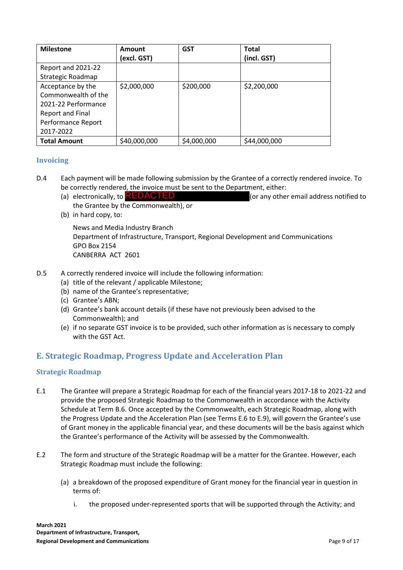| <b>Milestone</b>                                                                                                              | Amount<br>(excl. GST) | <b>GST</b>  | <b>Total</b><br>(incl. GST) |
|-------------------------------------------------------------------------------------------------------------------------------|-----------------------|-------------|-----------------------------|
| Report and 2021-22<br>Strategic Roadmap                                                                                       |                       |             |                             |
| Acceptance by the<br>Commonwealth of the<br>2021-22 Performance<br><b>Report and Final</b><br>Performance Report<br>2017-2022 | \$2,000,000           | \$200,000   | \$2,200,000                 |
| <b>Total Amount</b>                                                                                                           | \$40,000,000          | \$4,000,000 | \$44,000,000                |

#### **Invoicing**

- D.4 Each payment will be made following submission by the Grantee of a correctly rendered invoice. To be correctly rendered, the invoice must be sent to the Department, either:
	- (or any other email address notified to the Grantee by the Commonwealth), or (a) electronically, to **REDACTED**
	- (b) in hard copy, to:

News and Media Industry Branch Department of Infrastructure, Transport, Regional Development and Communications GPO Box 2154 CANBERRA ACT 2601

- D.5 A correctly rendered invoice will include the following information:
	- (a) title of the relevant / applicable Milestone;
	- (b) name of the Grantee's representative;
	- (c) Grantee's ABN;
	- (d) Grantee's bank account details (if these have not previously been advised to the Commonwealth); and
	- (e) if no separate GST invoice is to be provided, such other information as is necessary to comply with the GST Act.

# **E. Strategic Roadmap, Progress Update and Acceleration Plan**

#### **Strategic Roadmap**

- E.1 The Grantee will prepare a Strategic Roadmap for each of the financial years 2017-18 to 2021-22 and provide the proposed Strategic Roadmap to the Commonwealth in accordance with the Activity Schedule at Term B.6. Once accepted by the Commonwealth, each Strategic Roadmap, along with the Progress Update and the Acceleration Plan (see Terms E.6 to E.9), will govern the Grantee's use of Grant money in the applicable financial year, and these documents will be the basis against which the Grantee's performance of the Activity will be assessed by the Commonwealth.
- E.2 The form and structure of the Strategic Roadmap will be a matter for the Grantee. However, each Strategic Roadmap must include the following:
	- (a) a breakdown of the proposed expenditure of Grant money for the financial year in question in terms of:
		- i. the proposed under-represented sports that will be supported through the Activity; and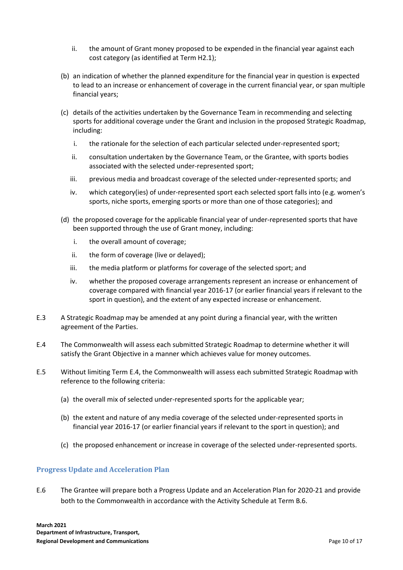- ii. the amount of Grant money proposed to be expended in the financial year against each cost category (as identified at Term H2.1);
- (b) an indication of whether the planned expenditure for the financial year in question is expected to lead to an increase or enhancement of coverage in the current financial year, or span multiple financial years;
- (c) details of the activities undertaken by the Governance Team in recommending and selecting sports for additional coverage under the Grant and inclusion in the proposed Strategic Roadmap, including:
	- i. the rationale for the selection of each particular selected under-represented sport;
	- ii. consultation undertaken by the Governance Team, or the Grantee, with sports bodies associated with the selected under-represented sport;
	- iii. previous media and broadcast coverage of the selected under-represented sports; and
	- iv. which category(ies) of under-represented sport each selected sport falls into (e.g. women's sports, niche sports, emerging sports or more than one of those categories); and
- (d) the proposed coverage for the applicable financial year of under-represented sports that have been supported through the use of Grant money, including:
	- i. the overall amount of coverage;
	- ii. the form of coverage (live or delayed);
	- iii. the media platform or platforms for coverage of the selected sport; and
	- iv. whether the proposed coverage arrangements represent an increase or enhancement of coverage compared with financial year 2016-17 (or earlier financial years if relevant to the sport in question), and the extent of any expected increase or enhancement.
- E.3 A Strategic Roadmap may be amended at any point during a financial year, with the written agreement of the Parties.
- E.4 The Commonwealth will assess each submitted Strategic Roadmap to determine whether it will satisfy the Grant Objective in a manner which achieves value for money outcomes.
- E.5 Without limiting Term E.4, the Commonwealth will assess each submitted Strategic Roadmap with reference to the following criteria:
	- (a) the overall mix of selected under-represented sports for the applicable year;
	- (b) the extent and nature of any media coverage of the selected under-represented sports in financial year 2016-17 (or earlier financial years if relevant to the sport in question); and
	- (c) the proposed enhancement or increase in coverage of the selected under-represented sports.

#### **Progress Update and Acceleration Plan**

E.6 The Grantee will prepare both a Progress Update and an Acceleration Plan for 2020-21 and provide both to the Commonwealth in accordance with the Activity Schedule at Term B.6.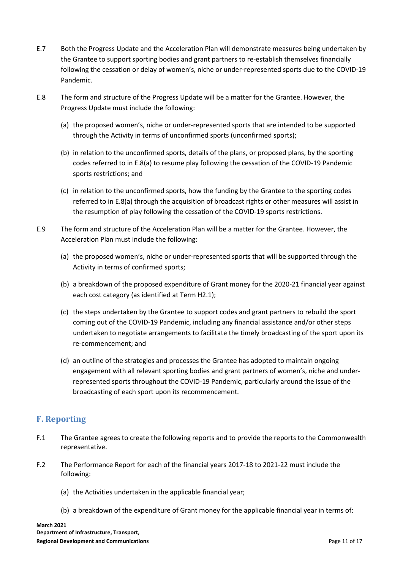- E.7 Both the Progress Update and the Acceleration Plan will demonstrate measures being undertaken by the Grantee to support sporting bodies and grant partners to re-establish themselves financially following the cessation or delay of women's, niche or under-represented sports due to the COVID-19 Pandemic.
- E.8 The form and structure of the Progress Update will be a matter for the Grantee. However, the Progress Update must include the following:
	- (a) the proposed women's, niche or under-represented sports that are intended to be supported through the Activity in terms of unconfirmed sports (unconfirmed sports);
	- (b) in relation to the unconfirmed sports, details of the plans, or proposed plans, by the sporting codes referred to in E.8(a) to resume play following the cessation of the COVID-19 Pandemic sports restrictions; and
	- (c) in relation to the unconfirmed sports, how the funding by the Grantee to the sporting codes referred to in E.8(a) through the acquisition of broadcast rights or other measures will assist in the resumption of play following the cessation of the COVID-19 sports restrictions.
- E.9 The form and structure of the Acceleration Plan will be a matter for the Grantee. However, the Acceleration Plan must include the following:
	- (a) the proposed women's, niche or under-represented sports that will be supported through the Activity in terms of confirmed sports;
	- (b) a breakdown of the proposed expenditure of Grant money for the 2020-21 financial year against each cost category (as identified at Term H2.1);
	- (c) the steps undertaken by the Grantee to support codes and grant partners to rebuild the sport coming out of the COVID-19 Pandemic, including any financial assistance and/or other steps undertaken to negotiate arrangements to facilitate the timely broadcasting of the sport upon its re-commencement; and
	- (d) an outline of the strategies and processes the Grantee has adopted to maintain ongoing engagement with all relevant sporting bodies and grant partners of women's, niche and underrepresented sports throughout the COVID-19 Pandemic, particularly around the issue of the broadcasting of each sport upon its recommencement.

# **F. Reporting**

- F.1 The Grantee agrees to create the following reports and to provide the reports to the Commonwealth representative.
- F.2 The Performance Report for each of the financial years 2017-18 to 2021-22 must include the following:
	- (a) the Activities undertaken in the applicable financial year;
	- (b) a breakdown of the expenditure of Grant money for the applicable financial year in terms of: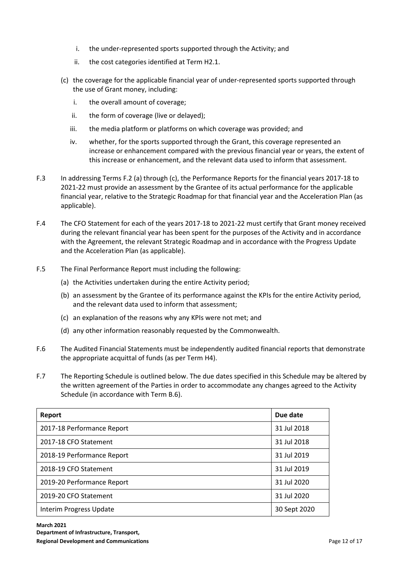- i. the under-represented sports supported through the Activity; and
- ii. the cost categories identified at Term H2.1.
- (c) the coverage for the applicable financial year of under-represented sports supported through the use of Grant money, including:
	- i. the overall amount of coverage;
	- ii. the form of coverage (live or delayed);
	- iii. the media platform or platforms on which coverage was provided; and
	- iv. whether, for the sports supported through the Grant, this coverage represented an increase or enhancement compared with the previous financial year or years, the extent of this increase or enhancement, and the relevant data used to inform that assessment.
- F.3 In addressing Terms F.2 (a) through (c), the Performance Reports for the financial years 2017-18 to 2021-22 must provide an assessment by the Grantee of its actual performance for the applicable financial year, relative to the Strategic Roadmap for that financial year and the Acceleration Plan (as applicable).
- F.4 The CFO Statement for each of the years 2017-18 to 2021-22 must certify that Grant money received during the relevant financial year has been spent for the purposes of the Activity and in accordance with the Agreement, the relevant Strategic Roadmap and in accordance with the Progress Update and the Acceleration Plan (as applicable).
- F.5 The Final Performance Report must including the following:
	- (a) the Activities undertaken during the entire Activity period;
	- (b) an assessment by the Grantee of its performance against the KPIs for the entire Activity period, and the relevant data used to inform that assessment;
	- (c) an explanation of the reasons why any KPIs were not met; and
	- (d) any other information reasonably requested by the Commonwealth.
- F.6 The Audited Financial Statements must be independently audited financial reports that demonstrate the appropriate acquittal of funds (as per Term H4).
- F.7 The Reporting Schedule is outlined below. The due dates specified in this Schedule may be altered by the written agreement of the Parties in order to accommodate any changes agreed to the Activity Schedule (in accordance with Term B.6).

| Report                     | Due date     |
|----------------------------|--------------|
| 2017-18 Performance Report | 31 Jul 2018  |
| 2017-18 CFO Statement      | 31 Jul 2018  |
| 2018-19 Performance Report | 31 Jul 2019  |
| 2018-19 CFO Statement      | 31 Jul 2019  |
| 2019-20 Performance Report | 31 Jul 2020  |
| 2019-20 CFO Statement      | 31 Jul 2020  |
| Interim Progress Update    | 30 Sept 2020 |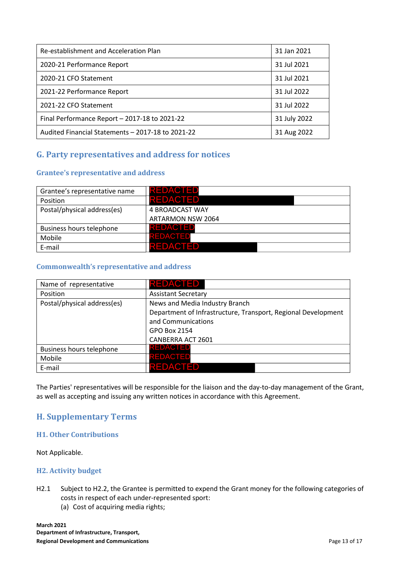| Re-establishment and Acceleration Plan            | 31 Jan 2021  |
|---------------------------------------------------|--------------|
| 2020-21 Performance Report                        | 31 Jul 2021  |
| 2020-21 CFO Statement                             | 31 Jul 2021  |
| 2021-22 Performance Report                        | 31 Jul 2022  |
| 2021-22 CFO Statement                             | 31 Jul 2022  |
| Final Performance Report - 2017-18 to 2021-22     | 31 July 2022 |
| Audited Financial Statements - 2017-18 to 2021-22 | 31 Aug 2022  |

# **G. Party representatives and address for notices**

#### **Grantee's representative and address**

| Grantee's representative name | <b>REDACTED</b>   |
|-------------------------------|-------------------|
| Position                      | <b>REDACTED</b>   |
| Postal/physical address(es)   | 4 BROADCAST WAY   |
|                               | ARTARMON NSW 2064 |
| Business hours telephone      | <b>REDACTED</b>   |
| Mobile                        | <b>REDACTED</b>   |
| E-mail                        | <b>REDACTED</b>   |

#### **Commonwealth's representative and address**

| Name of representative      | REDACTED                                                      |  |
|-----------------------------|---------------------------------------------------------------|--|
| Position                    | <b>Assistant Secretary</b>                                    |  |
| Postal/physical address(es) | News and Media Industry Branch                                |  |
|                             | Department of Infrastructure, Transport, Regional Development |  |
|                             | and Communications                                            |  |
|                             | GPO Box 2154                                                  |  |
|                             | CANBERRA ACT 2601                                             |  |
| Business hours telephone    | <b>REDACTED</b>                                               |  |
| Mobile                      | <b>REDACTED</b>                                               |  |
| E-mail                      | <b>REDACTED</b>                                               |  |

The Parties' representatives will be responsible for the liaison and the day-to-day management of the Grant, as well as accepting and issuing any written notices in accordance with this Agreement.

# **H. Supplementary Terms**

#### **H1. Other Contributions**

Not Applicable.

#### **H2. Activity budget**

H2.1 Subject to H2.2, the Grantee is permitted to expend the Grant money for the following categories of costs in respect of each under-represented sport: (a) Cost of acquiring media rights;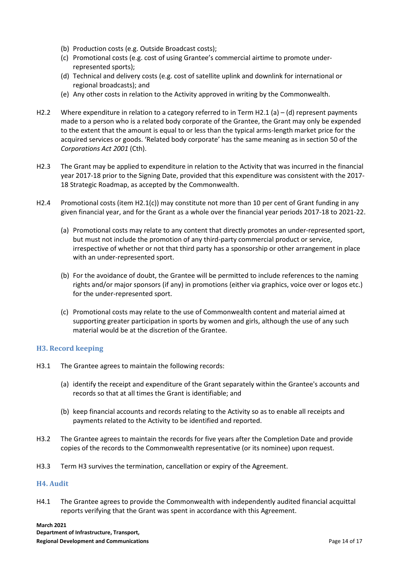- (b) Production costs (e.g. Outside Broadcast costs);
- (c) Promotional costs (e.g. cost of using Grantee's commercial airtime to promote underrepresented sports);
- (d) Technical and delivery costs (e.g. cost of satellite uplink and downlink for international or regional broadcasts); and
- (e) Any other costs in relation to the Activity approved in writing by the Commonwealth.
- H2.2 Where expenditure in relation to a category referred to in Term H2.1 (a) (d) represent payments made to a person who is a related body corporate of the Grantee, the Grant may only be expended to the extent that the amount is equal to or less than the typical arms-length market price for the acquired services or goods. 'Related body corporate' has the same meaning as in section 50 of the *Corporations Act 2001* (Cth).
- H2.3 The Grant may be applied to expenditure in relation to the Activity that was incurred in the financial year 2017-18 prior to the Signing Date, provided that this expenditure was consistent with the 2017- 18 Strategic Roadmap, as accepted by the Commonwealth.
- H2.4 Promotional costs (item H2.1(c)) may constitute not more than 10 per cent of Grant funding in any given financial year, and for the Grant as a whole over the financial year periods 2017-18 to 2021-22.
	- (a) Promotional costs may relate to any content that directly promotes an under-represented sport, but must not include the promotion of any third-party commercial product or service, irrespective of whether or not that third party has a sponsorship or other arrangement in place with an under-represented sport.
	- (b) For the avoidance of doubt, the Grantee will be permitted to include references to the naming rights and/or major sponsors (if any) in promotions (either via graphics, voice over or logos etc.) for the under-represented sport.
	- (c) Promotional costs may relate to the use of Commonwealth content and material aimed at supporting greater participation in sports by women and girls, although the use of any such material would be at the discretion of the Grantee.

#### **H3. Record keeping**

- H3.1 The Grantee agrees to maintain the following records:
	- (a) identify the receipt and expenditure of the Grant separately within the Grantee's accounts and records so that at all times the Grant is identifiable; and
	- (b) keep financial accounts and records relating to the Activity so as to enable all receipts and payments related to the Activity to be identified and reported.
- H3.2 The Grantee agrees to maintain the records for five years after the Completion Date and provide copies of the records to the Commonwealth representative (or its nominee) upon request.
- H3.3 Term H3 survives the termination, cancellation or expiry of the Agreement.

#### **H4. Audit**

H4.1 The Grantee agrees to provide the Commonwealth with independently audited financial acquittal reports verifying that the Grant was spent in accordance with this Agreement.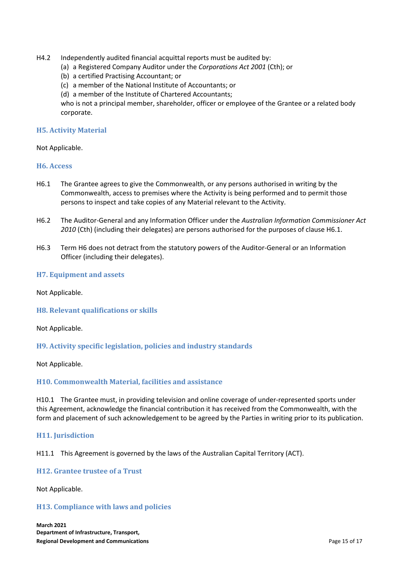- H4.2 Independently audited financial acquittal reports must be audited by:
	- (a) a Registered Company Auditor under the *Corporations Act 2001* (Cth); or
	- (b) a certified Practising Accountant; or
	- (c) a member of the National Institute of Accountants; or
	- (d) a member of the Institute of Chartered Accountants;

who is not a principal member, shareholder, officer or employee of the Grantee or a related body corporate.

#### **H5. Activity Material**

Not Applicable.

#### **H6. Access**

- H6.1 The Grantee agrees to give the Commonwealth, or any persons authorised in writing by the Commonwealth, access to premises where the Activity is being performed and to permit those persons to inspect and take copies of any Material relevant to the Activity.
- H6.2 The Auditor-General and any Information Officer under the *Australian Information Commissioner Act 2010* (Cth) (including their delegates) are persons authorised for the purposes of clause H6.1.
- H6.3 Term H6 does not detract from the statutory powers of the Auditor-General or an Information Officer (including their delegates).

#### **H7. Equipment and assets**

Not Applicable.

#### **H8. Relevant qualifications or skills**

Not Applicable.

#### **H9. Activity specific legislation, policies and industry standards**

Not Applicable.

#### **H10. Commonwealth Material, facilities and assistance**

H10.1 The Grantee must, in providing television and online coverage of under-represented sports under this Agreement, acknowledge the financial contribution it has received from the Commonwealth, with the form and placement of such acknowledgement to be agreed by the Parties in writing prior to its publication.

#### **H11. Jurisdiction**

H11.1 This Agreement is governed by the laws of the Australian Capital Territory (ACT).

#### **H12. Grantee trustee of a Trust**

Not Applicable.

#### **H13. Compliance with laws and policies**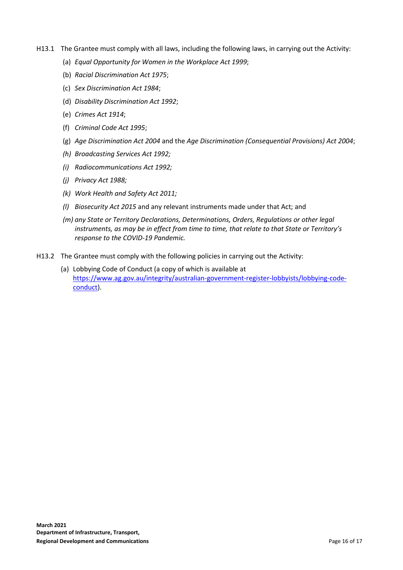- H13.1 The Grantee must comply with all laws, including the following laws, in carrying out the Activity:
	- (a) *Equal Opportunity for Women in the Workplace Act 1999*;
	- (b) *Racial Discrimination Act 1975*;
	- (c) *Sex Discrimination Act 1984*;
	- (d) *Disability Discrimination Act 1992*;
	- (e) *Crimes Act 1914*;
	- (f) *Criminal Code Act 1995*;
	- (g) *Age Discrimination Act 2004* and the *Age Discrimination (Consequential Provisions) Act 2004*;
	- *(h) Broadcasting Services Act 1992;*
	- *(i) Radiocommunications Act 1992;*
	- *(j) Privacy Act 1988;*
	- *(k) Work Health and Safety Act 2011;*
	- *(l) Biosecurity Act 2015* and any relevant instruments made under that Act; and
	- *(m) any State or Territory Declarations, Determinations, Orders, Regulations or other legal instruments, as may be in effect from time to time, that relate to that State or Territory's response to the COVID-19 Pandemic.*
- H13.2 The Grantee must comply with the following policies in carrying out the Activity:
	- (a) Lobbying Code of Conduct (a copy of which is available at https://www.ag.gov.au/integrity/australian-government-register-lobbyists/lobbying-codeconduct).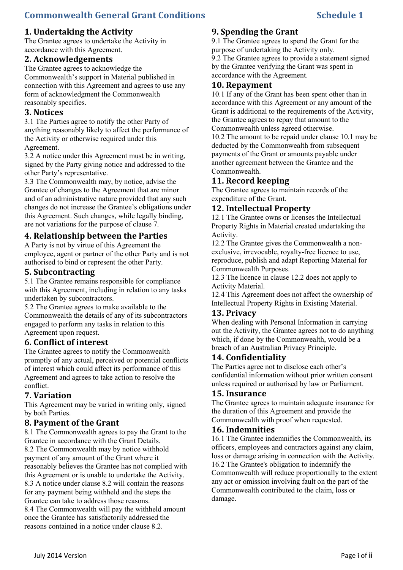# **Commonwealth General Grant Conditions Schedule 1** Schedule 1

# **1. Undertaking the Activity**

The Grantee agrees to undertake the Activity in accordance with this Agreement.

# **2. Acknowledgements**

The Grantee agrees to acknowledge the Commonwealth's support in Material published in connection with this Agreement and agrees to use any form of acknowledgment the Commonwealth reasonably specifies.

# **3. Notices**

3.1 The Parties agree to notify the other Party of anything reasonably likely to affect the performance of the Activity or otherwise required under this Agreement.

3.2 A notice under this Agreement must be in writing, signed by the Party giving notice and addressed to the other Party's representative.

3.3 The Commonwealth may, by notice, advise the Grantee of changes to the Agreement that are minor and of an administrative nature provided that any such changes do not increase the Grantee's obligations under this Agreement. Such changes, while legally binding, are not variations for the purpose of clause 7.

# **4. Relationship between the Parties**

A Party is not by virtue of this Agreement the employee, agent or partner of the other Party and is not authorised to bind or represent the other Party.

# **5. Subcontracting**

5.1 The Grantee remains responsible for compliance with this Agreement, including in relation to any tasks undertaken by subcontractors.

5.2 The Grantee agrees to make available to the Commonwealth the details of any of its subcontractors engaged to perform any tasks in relation to this Agreement upon request.

# **6. Conflict of interest**

The Grantee agrees to notify the Commonwealth promptly of any actual, perceived or potential conflicts of interest which could affect its performance of this Agreement and agrees to take action to resolve the conflict.

# **7. Variation**

This Agreement may be varied in writing only, signed by both Parties.

# **8. Payment of the Grant**

8.1 The Commonwealth agrees to pay the Grant to the Grantee in accordance with the Grant Details. 8.2 The Commonwealth may by notice withhold payment of any amount of the Grant where it reasonably believes the Grantee has not complied with this Agreement or is unable to undertake the Activity. 8.3 A notice under clause 8.2 will contain the reasons for any payment being withheld and the steps the Grantee can take to address those reasons. 8.4 The Commonwealth will pay the withheld amount once the Grantee has satisfactorily addressed the

reasons contained in a notice under clause 8.2.

### **9. Spending the Grant**

9.1 The Grantee agrees to spend the Grant for the purpose of undertaking the Activity only. 9.2 The Grantee agrees to provide a statement signed by the Grantee verifying the Grant was spent in accordance with the Agreement.

#### **10. Repayment**

10.1 If any of the Grant has been spent other than in accordance with this Agreement or any amount of the Grant is additional to the requirements of the Activity, the Grantee agrees to repay that amount to the Commonwealth unless agreed otherwise. 10.2 The amount to be repaid under clause 10.1 may be deducted by the Commonwealth from subsequent payments of the Grant or amounts payable under another agreement between the Grantee and the Commonwealth.

# **11. Record keeping**

The Grantee agrees to maintain records of the expenditure of the Grant.

# **12. Intellectual Property**

12.1 The Grantee owns or licenses the Intellectual Property Rights in Material created undertaking the Activity.

12.2 The Grantee gives the Commonwealth a nonexclusive, irrevocable, royalty-free licence to use, reproduce, publish and adapt Reporting Material for Commonwealth Purposes.

12.3 The licence in clause 12.2 does not apply to Activity Material.

12.4 This Agreement does not affect the ownership of Intellectual Property Rights in Existing Material.

# **13. Privacy**

When dealing with Personal Information in carrying out the Activity, the Grantee agrees not to do anything which, if done by the Commonwealth, would be a breach of an Australian Privacy Principle.

# **14. Confidentiality**

The Parties agree not to disclose each other's confidential information without prior written consent unless required or authorised by law or Parliament.

#### **15. Insurance**

The Grantee agrees to maintain adequate insurance for the duration of this Agreement and provide the Commonwealth with proof when requested.

#### **16. Indemnities**

16.1 The Grantee indemnifies the Commonwealth, its officers, employees and contractors against any claim, loss or damage arising in connection with the Activity. 16.2 The Grantee's obligation to indemnify the Commonwealth will reduce proportionally to the extent any act or omission involving fault on the part of the Commonwealth contributed to the claim, loss or damage.